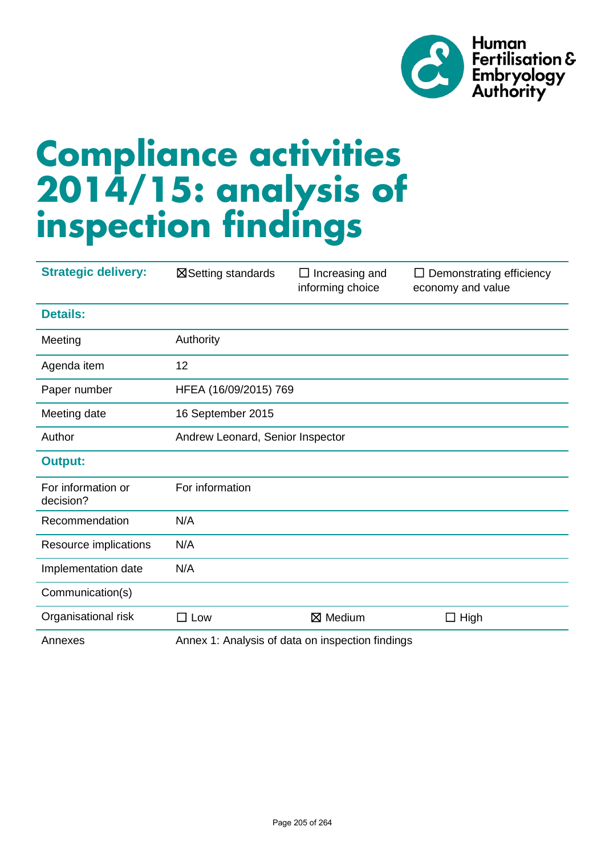

# **Compliance activities 2014/15: analysis of inspection findings**

| <b>Strategic delivery:</b>      | ⊠ Setting standards                              | $\Box$ Increasing and<br>informing choice | $\Box$ Demonstrating efficiency<br>economy and value |  |  |  |  |  |  |
|---------------------------------|--------------------------------------------------|-------------------------------------------|------------------------------------------------------|--|--|--|--|--|--|
| <b>Details:</b>                 |                                                  |                                           |                                                      |  |  |  |  |  |  |
| Meeting                         | Authority                                        |                                           |                                                      |  |  |  |  |  |  |
| Agenda item                     | 12                                               |                                           |                                                      |  |  |  |  |  |  |
| Paper number                    |                                                  | HFEA (16/09/2015) 769                     |                                                      |  |  |  |  |  |  |
| Meeting date                    | 16 September 2015                                |                                           |                                                      |  |  |  |  |  |  |
| Author                          | Andrew Leonard, Senior Inspector                 |                                           |                                                      |  |  |  |  |  |  |
| <b>Output:</b>                  |                                                  |                                           |                                                      |  |  |  |  |  |  |
| For information or<br>decision? | For information                                  |                                           |                                                      |  |  |  |  |  |  |
| Recommendation                  | N/A                                              |                                           |                                                      |  |  |  |  |  |  |
| Resource implications           | N/A                                              |                                           |                                                      |  |  |  |  |  |  |
| Implementation date             | N/A                                              |                                           |                                                      |  |  |  |  |  |  |
| Communication(s)                |                                                  |                                           |                                                      |  |  |  |  |  |  |
| Organisational risk             | $\square$ Low                                    | ⊠ Medium                                  | $\Box$ High                                          |  |  |  |  |  |  |
| Annexes                         | Annex 1: Analysis of data on inspection findings |                                           |                                                      |  |  |  |  |  |  |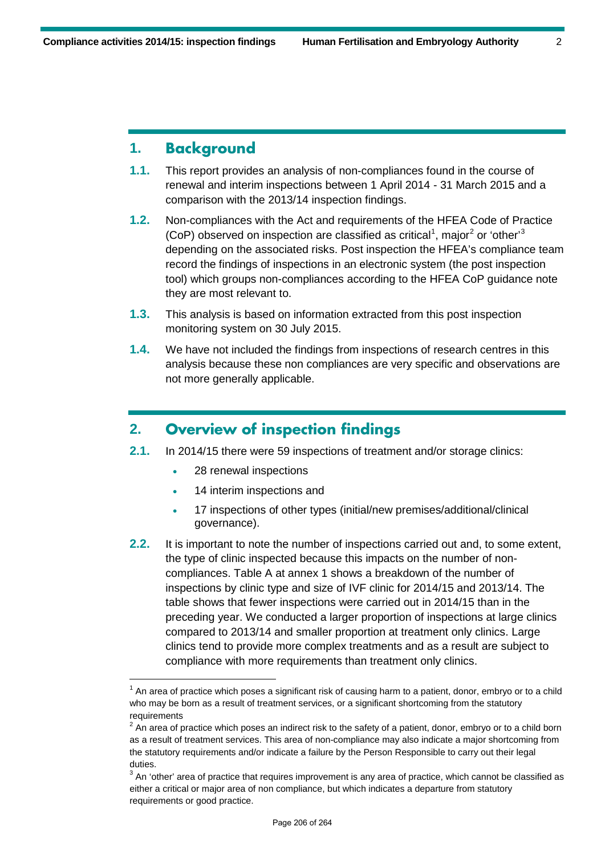## **1. Background**

- **1.1.** This report provides an analysis of non-compliances found in the course of renewal and interim inspections between 1 April 2014 - 31 March 2015 and a comparison with the 2013/14 inspection findings.
- **1.2.** Non-compliances with the Act and requirements of the HFEA Code of Practice (CoP) observed on inspection are classified as critical<sup>[1](#page-1-0)</sup>, major<sup>[2](#page-1-1)</sup> or 'other<sup>[3](#page-1-2)</sup> depending on the associated risks. Post inspection the HFEA's compliance team record the findings of inspections in an electronic system (the post inspection tool) which groups non-compliances according to the HFEA CoP guidance note they are most relevant to.
- **1.3.** This analysis is based on information extracted from this post inspection monitoring system on 30 July 2015.
- **1.4.** We have not included the findings from inspections of research centres in this analysis because these non compliances are very specific and observations are not more generally applicable.

## **2. Overview of inspection findings**

- **2.1.** In 2014/15 there were 59 inspections of treatment and/or storage clinics:
	- 28 renewal inspections
	- 14 interim inspections and
	- 17 inspections of other types (initial/new premises/additional/clinical governance).
- **2.2.** It is important to note the number of inspections carried out and, to some extent, the type of clinic inspected because this impacts on the number of noncompliances. Table A at annex 1 shows a breakdown of the number of inspections by clinic type and size of IVF clinic for 2014/15 and 2013/14. The table shows that fewer inspections were carried out in 2014/15 than in the preceding year. We conducted a larger proportion of inspections at large clinics compared to 2013/14 and smaller proportion at treatment only clinics. Large clinics tend to provide more complex treatments and as a result are subject to compliance with more requirements than treatment only clinics.

<span id="page-1-0"></span> $1$  An area of practice which poses a significant risk of causing harm to a patient, donor, embryo or to a child who may be born as a result of treatment services, or a significant shortcoming from the statutory requirements

<span id="page-1-1"></span> $2$  An area of practice which poses an indirect risk to the safety of a patient, donor, embryo or to a child born as a result of treatment services. This area of non-compliance may also indicate a major shortcoming from the statutory requirements and/or indicate a failure by the Person Responsible to carry out their legal duties.

<span id="page-1-2"></span> $3$  An 'other' area of practice that requires improvement is any area of practice, which cannot be classified as either a critical or major area of non compliance, but which indicates a departure from statutory requirements or good practice.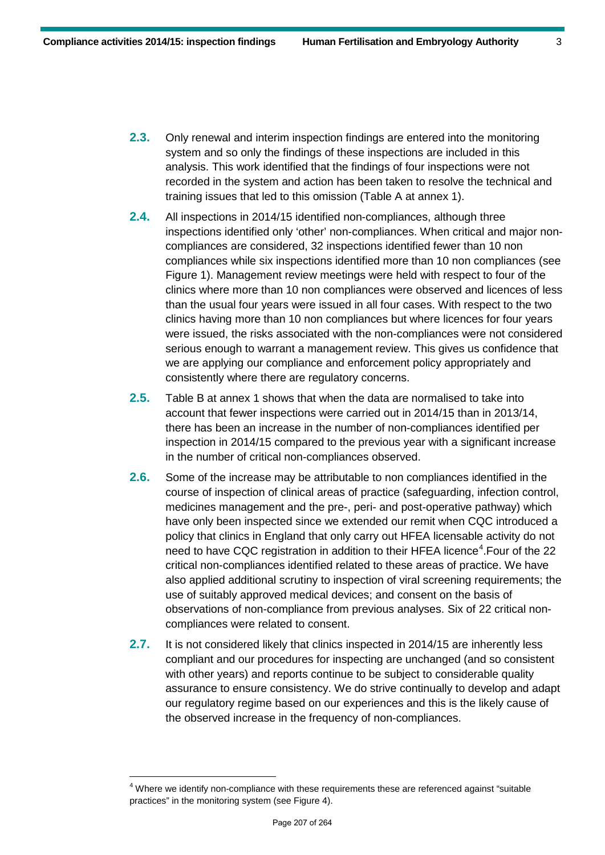- **2.3.** Only renewal and interim inspection findings are entered into the monitoring system and so only the findings of these inspections are included in this analysis. This work identified that the findings of four inspections were not recorded in the system and action has been taken to resolve the technical and training issues that led to this omission (Table A at annex 1).
- **2.4.** All inspections in 2014/15 identified non-compliances, although three inspections identified only 'other' non-compliances. When critical and major noncompliances are considered, 32 inspections identified fewer than 10 non compliances while six inspections identified more than 10 non compliances (see Figure 1). Management review meetings were held with respect to four of the clinics where more than 10 non compliances were observed and licences of less than the usual four years were issued in all four cases. With respect to the two clinics having more than 10 non compliances but where licences for four years were issued, the risks associated with the non-compliances were not considered serious enough to warrant a management review. This gives us confidence that we are applying our compliance and enforcement policy appropriately and consistently where there are regulatory concerns.
- **2.5.** Table B at annex 1 shows that when the data are normalised to take into account that fewer inspections were carried out in 2014/15 than in 2013/14, there has been an increase in the number of non-compliances identified per inspection in 2014/15 compared to the previous year with a significant increase in the number of critical non-compliances observed.
- **2.6.** Some of the increase may be attributable to non compliances identified in the course of inspection of clinical areas of practice (safeguarding, infection control, medicines management and the pre-, peri- and post-operative pathway) which have only been inspected since we extended our remit when CQC introduced a policy that clinics in England that only carry out HFEA licensable activity do not need to have CQC registration in addition to their HFEA licence<sup>[4](#page-2-0)</sup>. Four of the 22 critical non-compliances identified related to these areas of practice. We have also applied additional scrutiny to inspection of viral screening requirements; the use of suitably approved medical devices; and consent on the basis of observations of non-compliance from previous analyses. Six of 22 critical noncompliances were related to consent.
- **2.7.** It is not considered likely that clinics inspected in 2014/15 are inherently less compliant and our procedures for inspecting are unchanged (and so consistent with other years) and reports continue to be subject to considerable quality assurance to ensure consistency. We do strive continually to develop and adapt our regulatory regime based on our experiences and this is the likely cause of the observed increase in the frequency of non-compliances.

<span id="page-2-0"></span> $4$  Where we identify non-compliance with these requirements these are referenced against "suitable practices" in the monitoring system (see Figure 4).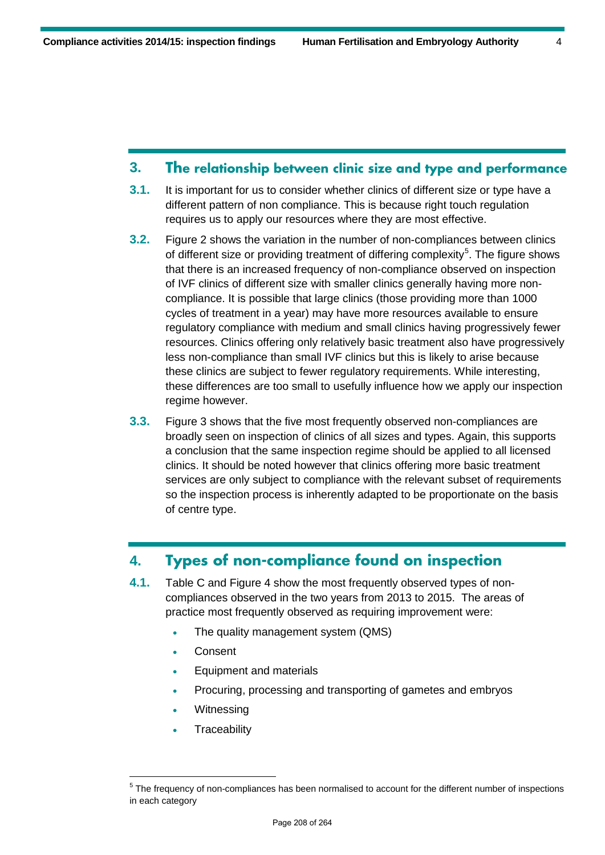#### **3. The relationship between clinic size and type and performance**

- **3.1.** It is important for us to consider whether clinics of different size or type have a different pattern of non compliance. This is because right touch regulation requires us to apply our resources where they are most effective.
- **3.2.** Figure 2 shows the variation in the number of non-compliances between clinics of different size or providing treatment of differing complexity<sup>[5](#page-3-0)</sup>. The figure shows that there is an increased frequency of non-compliance observed on inspection of IVF clinics of different size with smaller clinics generally having more noncompliance. It is possible that large clinics (those providing more than 1000 cycles of treatment in a year) may have more resources available to ensure regulatory compliance with medium and small clinics having progressively fewer resources. Clinics offering only relatively basic treatment also have progressively less non-compliance than small IVF clinics but this is likely to arise because these clinics are subject to fewer regulatory requirements. While interesting, these differences are too small to usefully influence how we apply our inspection regime however.
- **3.3.** Figure 3 shows that the five most frequently observed non-compliances are broadly seen on inspection of clinics of all sizes and types. Again, this supports a conclusion that the same inspection regime should be applied to all licensed clinics. It should be noted however that clinics offering more basic treatment services are only subject to compliance with the relevant subset of requirements so the inspection process is inherently adapted to be proportionate on the basis of centre type.

## **4. Types of non-compliance found on inspection**

- **4.1.** Table C and Figure 4 show the most frequently observed types of noncompliances observed in the two years from 2013 to 2015. The areas of practice most frequently observed as requiring improvement were:
	- The quality management system (QMS)
	- Consent
	- Equipment and materials
	- Procuring, processing and transporting of gametes and embryos
	- **Witnessing**
	- **Traceability**

<span id="page-3-0"></span><sup>&</sup>lt;sup>5</sup> The frequency of non-compliances has been normalised to account for the different number of inspections in each category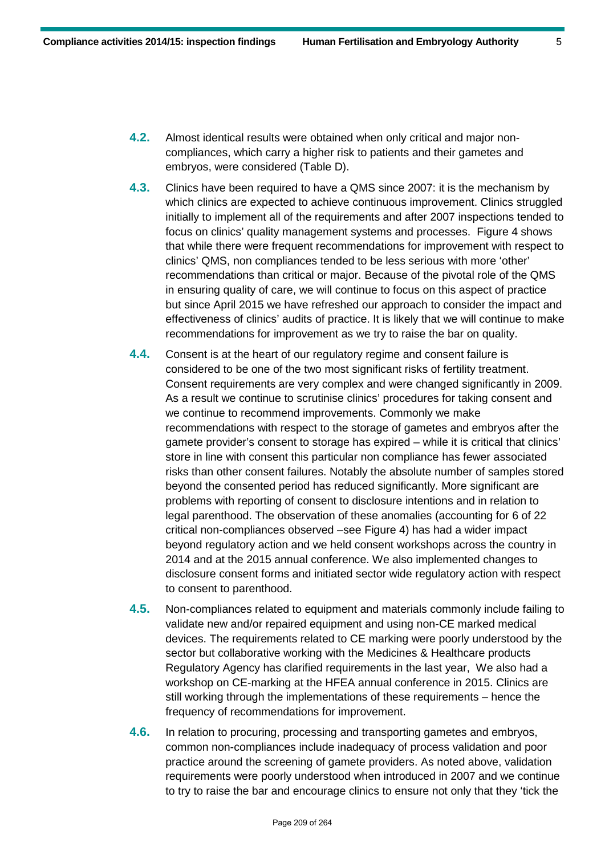- **4.2.** Almost identical results were obtained when only critical and major noncompliances, which carry a higher risk to patients and their gametes and embryos, were considered (Table D).
- **4.3.** Clinics have been required to have a QMS since 2007: it is the mechanism by which clinics are expected to achieve continuous improvement. Clinics struggled initially to implement all of the requirements and after 2007 inspections tended to focus on clinics' quality management systems and processes. Figure 4 shows that while there were frequent recommendations for improvement with respect to clinics' QMS, non compliances tended to be less serious with more 'other' recommendations than critical or major. Because of the pivotal role of the QMS in ensuring quality of care, we will continue to focus on this aspect of practice but since April 2015 we have refreshed our approach to consider the impact and effectiveness of clinics' audits of practice. It is likely that we will continue to make recommendations for improvement as we try to raise the bar on quality.
- **4.4.** Consent is at the heart of our regulatory regime and consent failure is considered to be one of the two most significant risks of fertility treatment. Consent requirements are very complex and were changed significantly in 2009. As a result we continue to scrutinise clinics' procedures for taking consent and we continue to recommend improvements. Commonly we make recommendations with respect to the storage of gametes and embryos after the gamete provider's consent to storage has expired – while it is critical that clinics' store in line with consent this particular non compliance has fewer associated risks than other consent failures. Notably the absolute number of samples stored beyond the consented period has reduced significantly. More significant are problems with reporting of consent to disclosure intentions and in relation to legal parenthood. The observation of these anomalies (accounting for 6 of 22 critical non-compliances observed –see Figure 4) has had a wider impact beyond regulatory action and we held consent workshops across the country in 2014 and at the 2015 annual conference. We also implemented changes to disclosure consent forms and initiated sector wide regulatory action with respect to consent to parenthood.
- **4.5.** Non-compliances related to equipment and materials commonly include failing to validate new and/or repaired equipment and using non-CE marked medical devices. The requirements related to CE marking were poorly understood by the sector but collaborative working with the Medicines & Healthcare products Regulatory Agency has clarified requirements in the last year, We also had a workshop on CE-marking at the HFEA annual conference in 2015. Clinics are still working through the implementations of these requirements – hence the frequency of recommendations for improvement.
- **4.6.** In relation to procuring, processing and transporting gametes and embryos, common non-compliances include inadequacy of process validation and poor practice around the screening of gamete providers. As noted above, validation requirements were poorly understood when introduced in 2007 and we continue to try to raise the bar and encourage clinics to ensure not only that they 'tick the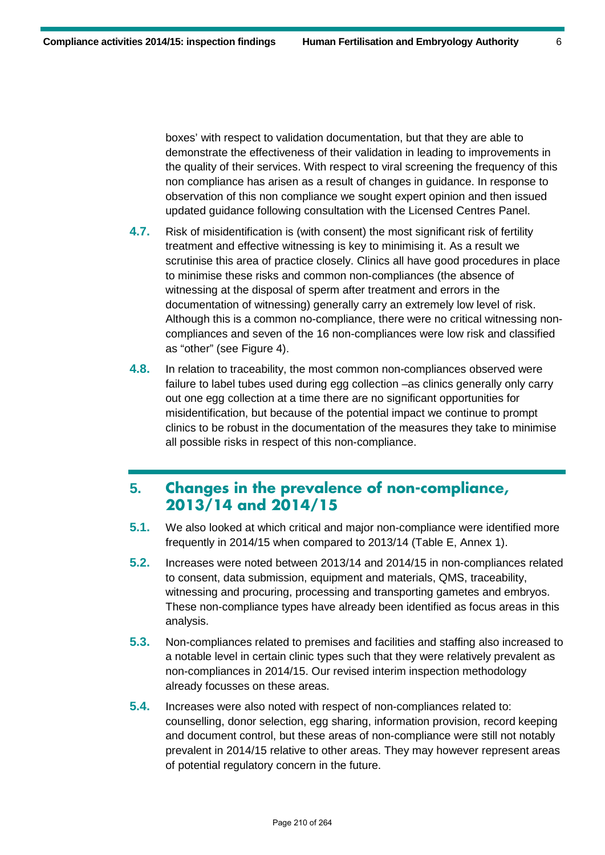boxes' with respect to validation documentation, but that they are able to demonstrate the effectiveness of their validation in leading to improvements in the quality of their services. With respect to viral screening the frequency of this non compliance has arisen as a result of changes in guidance. In response to observation of this non compliance we sought expert opinion and then issued updated guidance following consultation with the Licensed Centres Panel.

- **4.7.** Risk of misidentification is (with consent) the most significant risk of fertility treatment and effective witnessing is key to minimising it. As a result we scrutinise this area of practice closely. Clinics all have good procedures in place to minimise these risks and common non-compliances (the absence of witnessing at the disposal of sperm after treatment and errors in the documentation of witnessing) generally carry an extremely low level of risk. Although this is a common no-compliance, there were no critical witnessing noncompliances and seven of the 16 non-compliances were low risk and classified as "other" (see Figure 4).
- **4.8.** In relation to traceability, the most common non-compliances observed were failure to label tubes used during egg collection –as clinics generally only carry out one egg collection at a time there are no significant opportunities for misidentification, but because of the potential impact we continue to prompt clinics to be robust in the documentation of the measures they take to minimise all possible risks in respect of this non-compliance.

## **5. Changes in the prevalence of non-compliance, 2013/14 and 2014/15**

- **5.1.** We also looked at which critical and major non-compliance were identified more frequently in 2014/15 when compared to 2013/14 (Table E, Annex 1).
- **5.2.** Increases were noted between 2013/14 and 2014/15 in non-compliances related to consent, data submission, equipment and materials, QMS, traceability, witnessing and procuring, processing and transporting gametes and embryos. These non-compliance types have already been identified as focus areas in this analysis.
- **5.3.** Non-compliances related to premises and facilities and staffing also increased to a notable level in certain clinic types such that they were relatively prevalent as non-compliances in 2014/15. Our revised interim inspection methodology already focusses on these areas.
- **5.4.** Increases were also noted with respect of non-compliances related to: counselling, donor selection, egg sharing, information provision, record keeping and document control, but these areas of non-compliance were still not notably prevalent in 2014/15 relative to other areas. They may however represent areas of potential regulatory concern in the future.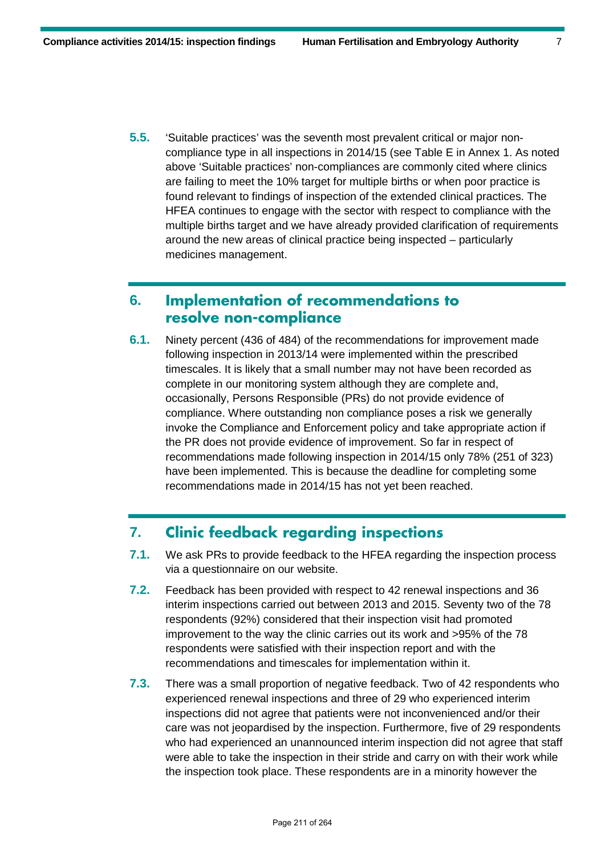**5.5.** 'Suitable practices' was the seventh most prevalent critical or major noncompliance type in all inspections in 2014/15 (see Table E in Annex 1. As noted above 'Suitable practices' non-compliances are commonly cited where clinics are failing to meet the 10% target for multiple births or when poor practice is found relevant to findings of inspection of the extended clinical practices. The HFEA continues to engage with the sector with respect to compliance with the multiple births target and we have already provided clarification of requirements around the new areas of clinical practice being inspected – particularly medicines management.

## **6. Implementation of recommendations to resolve non-compliance**

**6.1.** Ninety percent (436 of 484) of the recommendations for improvement made following inspection in 2013/14 were implemented within the prescribed timescales. It is likely that a small number may not have been recorded as complete in our monitoring system although they are complete and, occasionally, Persons Responsible (PRs) do not provide evidence of compliance. Where outstanding non compliance poses a risk we generally invoke the Compliance and Enforcement policy and take appropriate action if the PR does not provide evidence of improvement. So far in respect of recommendations made following inspection in 2014/15 only 78% (251 of 323) have been implemented. This is because the deadline for completing some recommendations made in 2014/15 has not yet been reached.

## **7. Clinic feedback regarding inspections**

- **7.1.** We ask PRs to provide feedback to the HFEA regarding the inspection process via a questionnaire on our website.
- **7.2.** Feedback has been provided with respect to 42 renewal inspections and 36 interim inspections carried out between 2013 and 2015. Seventy two of the 78 respondents (92%) considered that their inspection visit had promoted improvement to the way the clinic carries out its work and >95% of the 78 respondents were satisfied with their inspection report and with the recommendations and timescales for implementation within it.
- **7.3.** There was a small proportion of negative feedback. Two of 42 respondents who experienced renewal inspections and three of 29 who experienced interim inspections did not agree that patients were not inconvenienced and/or their care was not jeopardised by the inspection. Furthermore, five of 29 respondents who had experienced an unannounced interim inspection did not agree that staff were able to take the inspection in their stride and carry on with their work while the inspection took place. These respondents are in a minority however the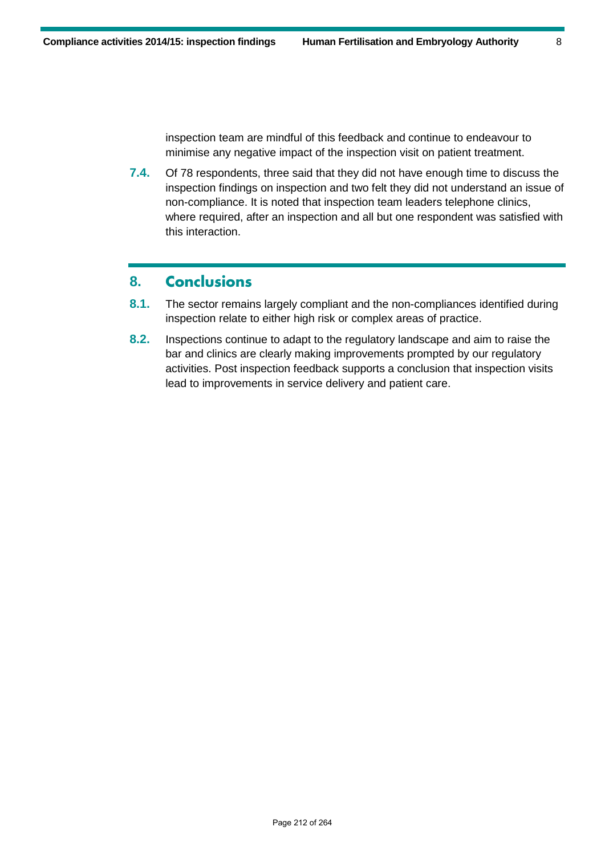inspection team are mindful of this feedback and continue to endeavour to minimise any negative impact of the inspection visit on patient treatment.

**7.4.** Of 78 respondents, three said that they did not have enough time to discuss the inspection findings on inspection and two felt they did not understand an issue of non-compliance. It is noted that inspection team leaders telephone clinics, where required, after an inspection and all but one respondent was satisfied with this interaction.

#### **8. Conclusions**

- **8.1.** The sector remains largely compliant and the non-compliances identified during inspection relate to either high risk or complex areas of practice.
- **8.2.** Inspections continue to adapt to the regulatory landscape and aim to raise the bar and clinics are clearly making improvements prompted by our regulatory activities. Post inspection feedback supports a conclusion that inspection visits lead to improvements in service delivery and patient care.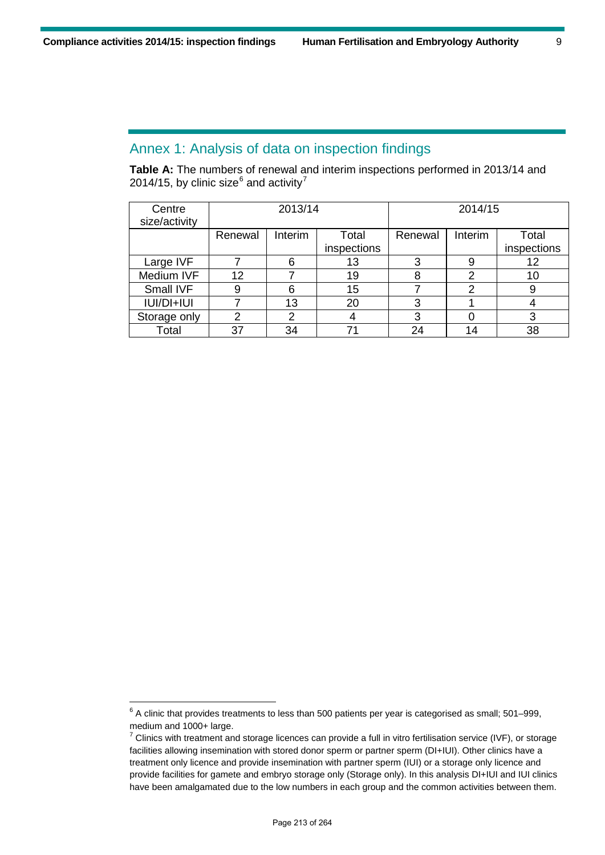-

#### Annex 1: Analysis of data on inspection findings

**Table A:** The numbers of renewal and interim inspections performed in 2013/14 and 2014/15, by clinic size $^6$  $^6$  and activity<sup>[7](#page-8-1)</sup>

| Centre<br>size/activity | 2013/14 |         |             | 2014/15 |         |             |
|-------------------------|---------|---------|-------------|---------|---------|-------------|
|                         | Renewal | Interim | Total       | Renewal | Interim | Total       |
|                         |         |         | inspections |         |         | inspections |
| Large IVF               |         | 6       | 13          | 3       | 9       | 12          |
| Medium IVF              | 12      |         | 19          | 8       | 2       | 10          |
| Small IVF               | 9       | 6       | 15          |         | 2       | 9           |
| IUI/DI+IUI              |         | 13      | 20          | 3       |         |             |
| Storage only            | 2       | າ       |             | 3       |         | 3           |
| Total                   | 37      | 34      | 71          | 24      | 14      | 38          |

<span id="page-8-0"></span> $^6$  A clinic that provides treatments to less than 500 patients per year is categorised as small; 501–999, medium and 1000+ large.

<span id="page-8-1"></span> $7$  Clinics with treatment and storage licences can provide a full in vitro fertilisation service (IVF), or storage facilities allowing insemination with stored donor sperm or partner sperm (DI+IUI). Other clinics have a treatment only licence and provide insemination with partner sperm (IUI) or a storage only licence and provide facilities for gamete and embryo storage only (Storage only). In this analysis DI+IUI and IUI clinics have been amalgamated due to the low numbers in each group and the common activities between them.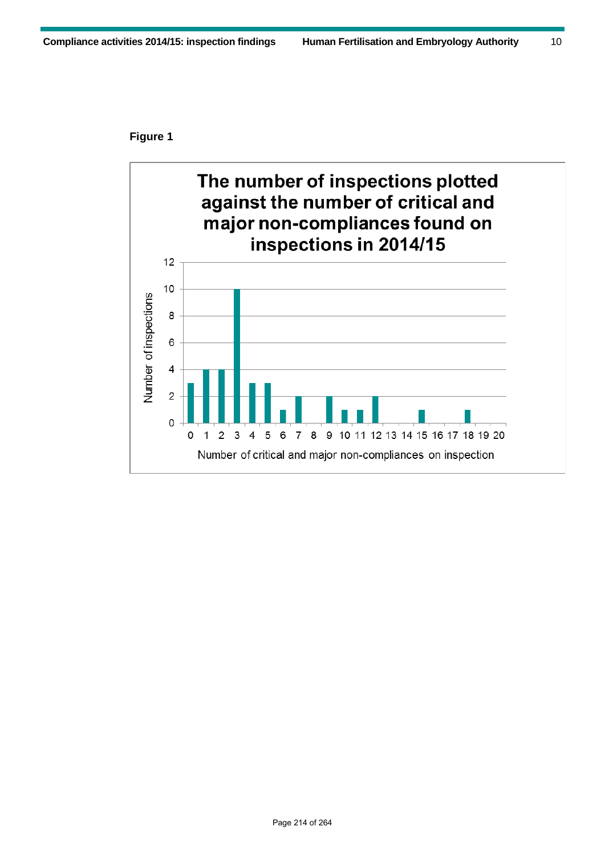#### **Figure 1**

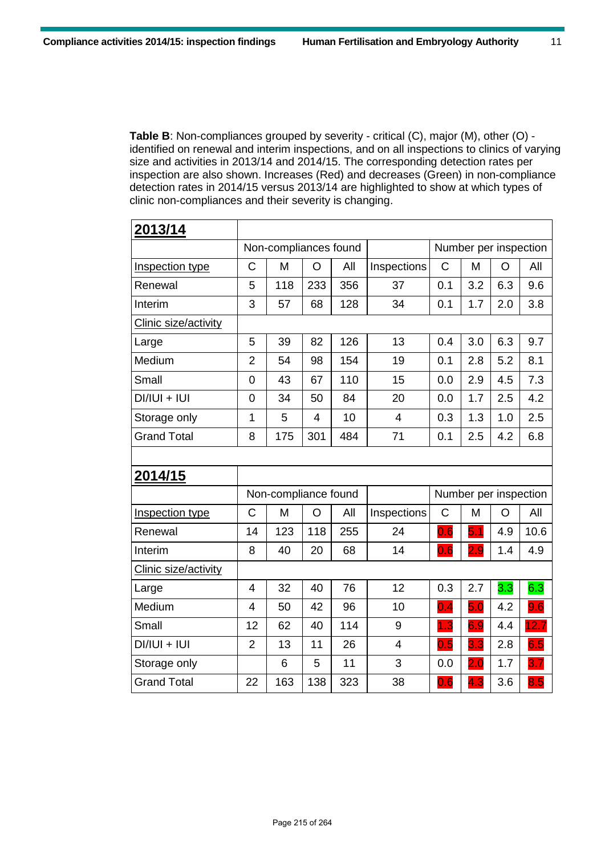**Table B**: Non-compliances grouped by severity - critical (C), major (M), other (O) identified on renewal and interim inspections, and on all inspections to clinics of varying size and activities in 2013/14 and 2014/15. The corresponding detection rates per inspection are also shown. Increases (Red) and decreases (Green) in non-compliance detection rates in 2014/15 versus 2013/14 are highlighted to show at which types of clinic non-compliances and their severity is changing.

| 2013/14              |                          |                       |     |     |                |                       |                       |     |      |
|----------------------|--------------------------|-----------------------|-----|-----|----------------|-----------------------|-----------------------|-----|------|
|                      |                          | Non-compliances found |     |     |                |                       | Number per inspection |     |      |
| Inspection type      | C                        | M                     | O   | All | Inspections    | C                     | M                     | O   | All  |
| Renewal              | 5                        | 118                   | 233 | 356 | 37             | 0.1                   | 3.2                   | 6.3 | 9.6  |
| Interim              | 3                        | 57                    | 68  | 128 | 34             | 0.1                   | 1.7                   | 2.0 | 3.8  |
| Clinic size/activity |                          |                       |     |     |                |                       |                       |     |      |
| Large                | 5                        | 39                    | 82  | 126 | 13             | 0.4                   | 3.0                   | 6.3 | 9.7  |
| Medium               | $\overline{2}$           | 54                    | 98  | 154 | 19             | 0.1                   | 2.8                   | 5.2 | 8.1  |
| Small                | $\overline{0}$           | 43                    | 67  | 110 | 15             | 0.0                   | 2.9                   | 4.5 | 7.3  |
| $DI/IUI + IUI$       | 0                        | 34                    | 50  | 84  | 20             | 0.0                   | 1.7                   | 2.5 | 4.2  |
| Storage only         | $\mathbf{1}$             | 5                     | 4   | 10  | $\overline{4}$ | 0.3                   | 1.3                   | 1.0 | 2.5  |
| <b>Grand Total</b>   | 8                        | 175                   | 301 | 484 | 71             | 0.1                   | 2.5                   | 4.2 | 6.8  |
|                      |                          |                       |     |     |                |                       |                       |     |      |
| 2014/15              |                          |                       |     |     |                |                       |                       |     |      |
|                      |                          | Non-compliance found  |     |     |                | Number per inspection |                       |     |      |
| Inspection type      | $\mathsf{C}$             | M                     | O   | All | Inspections    | C                     | M                     | O   | All  |
| Renewal              | 14                       | 123                   | 118 | 255 | 24             | 0.6                   | 5.1                   | 4.9 | 10.6 |
| Interim              | 8                        | 40                    | 20  | 68  | 14             | 0.6                   | 2.9                   | 1.4 | 4.9  |
| Clinic size/activity |                          |                       |     |     |                |                       |                       |     |      |
| Large                | $\overline{\mathcal{L}}$ | 32                    | 40  | 76  | 12             | 0.3                   | 2.7                   | 3.3 | 6.3  |
| Medium               | $\overline{4}$           | 50                    | 42  | 96  | 10             | 0.4                   | 5.0                   | 4.2 | 9.6  |
| Small                | 12                       | 62                    | 40  | 114 | 9              | 1.3                   | 6.9                   | 4.4 | 12.7 |
| $DI/IUI + IUI$       | $\overline{2}$           | 13                    | 11  | 26  | 4              | 0.5                   | 3.3                   | 2.8 | 6.5  |
| Storage only         |                          | 6                     | 5   | 11  | 3              | 0.0                   | 2.0                   | 1.7 | 3.7  |
| <b>Grand Total</b>   | 22                       | 163                   | 138 | 323 | 38             | 0.6                   | 4.3                   | 3.6 | 8.5  |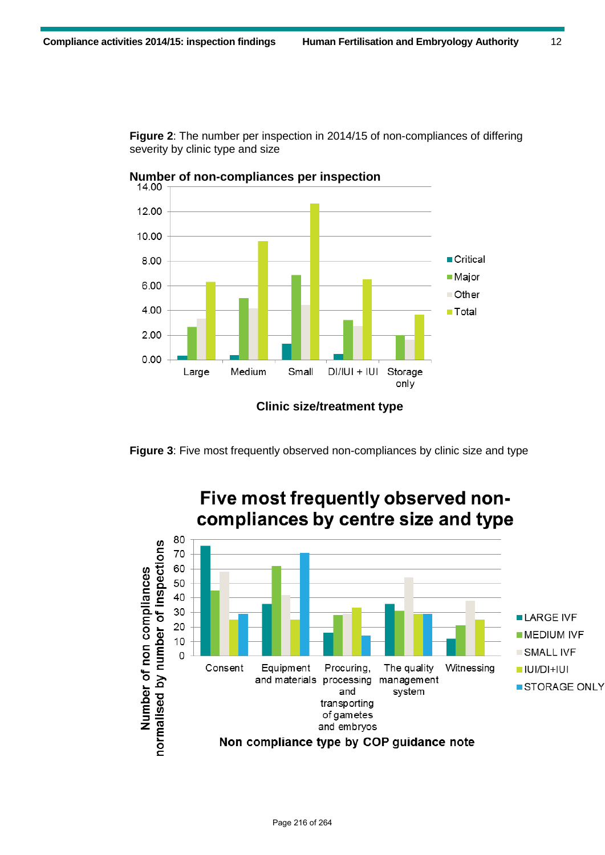**Figure 2**: The number per inspection in 2014/15 of non-compliances of differing severity by clinic type and size





**Figure 3**: Five most frequently observed non-compliances by clinic size and type

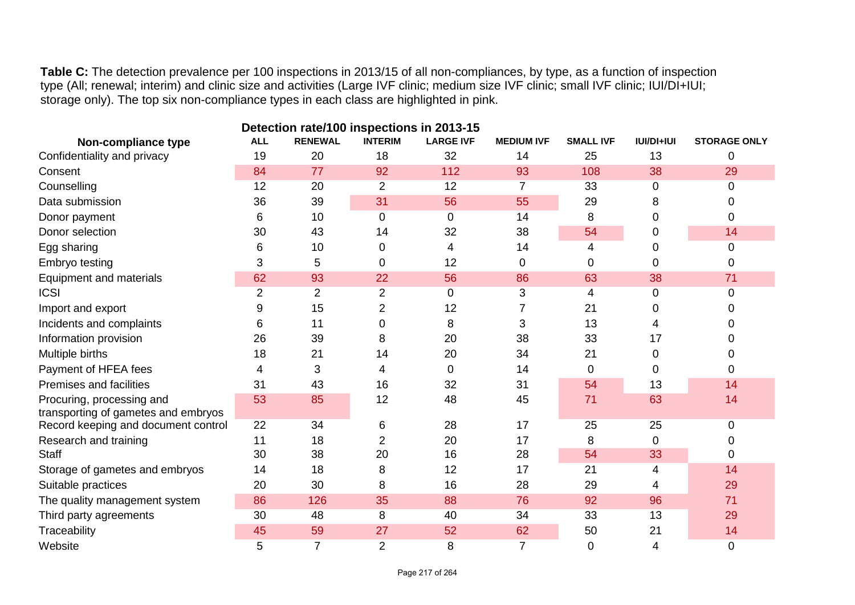**Table C:** The detection prevalence per 100 inspections in 2013/15 of all non-compliances, by type, as a function of inspection type (All; renewal; interim) and clinic size and activities (Large IVF clinic; medium size IVF clinic; small IVF clinic; IUI/DI+IUI; storage only). The top six non-compliance types in each class are highlighted in pink.

| Detection rate/100 inspections in 2013-15 |                |                |                |                  |                   |                  |                   |                     |  |
|-------------------------------------------|----------------|----------------|----------------|------------------|-------------------|------------------|-------------------|---------------------|--|
| Non-compliance type                       | <b>ALL</b>     | <b>RENEWAL</b> | <b>INTERIM</b> | <b>LARGE IVF</b> | <b>MEDIUM IVF</b> | <b>SMALL IVF</b> | <b>IUI/DI+IUI</b> | <b>STORAGE ONLY</b> |  |
| Confidentiality and privacy               | 19             | 20             | 18             | 32               | 14                | 25               | 13                | 0                   |  |
| Consent                                   | 84             | 77             | 92             | 112              | 93                | 108              | 38                | 29                  |  |
| Counselling                               | 12             | 20             | 2              | 12               | 7                 | 33               | 0                 | 0                   |  |
| Data submission                           | 36             | 39             | 31             | 56               | 55                | 29               | 8                 | 0                   |  |
| Donor payment                             | 6              | 10             | $\Omega$       | 0                | 14                | 8                | 0                 | 0                   |  |
| Donor selection                           | 30             | 43             | 14             | 32               | 38                | 54               | 0                 | 14                  |  |
| Egg sharing                               | 6              | 10             | 0              | 4                | 14                | 4                | 0                 | 0                   |  |
| Embryo testing                            | 3              | 5              | 0              | 12               | 0                 | 0                | 0                 | 0                   |  |
| Equipment and materials                   | 62             | 93             | 22             | 56               | 86                | 63               | 38                | 71                  |  |
| <b>ICSI</b>                               | $\overline{2}$ | 2              | $\overline{2}$ | $\mathbf 0$      | 3                 | 4                | 0                 | 0                   |  |
| Import and export                         | 9              | 15             | $\overline{2}$ | 12               |                   | 21               | O                 | 0                   |  |
| Incidents and complaints                  | 6              | 11             | 0              | 8                | 3                 | 13               | 4                 | 0                   |  |
| Information provision                     | 26             | 39             | 8              | 20               | 38                | 33               | 17                | O                   |  |
| Multiple births                           | 18             | 21             | 14             | 20               | 34                | 21               | 0                 | 0                   |  |
| Payment of HFEA fees                      | 4              | 3              | 4              | $\mathbf 0$      | 14                | 0                | 0                 | 0                   |  |
| Premises and facilities                   | 31             | 43             | 16             | 32               | 31                | 54               | 13                | 14                  |  |
| Procuring, processing and                 | 53             | 85             | 12             | 48               | 45                | 71               | 63                | 14                  |  |
| transporting of gametes and embryos       |                |                |                |                  |                   |                  |                   |                     |  |
| Record keeping and document control       | 22             | 34             | 6              | 28               | 17                | 25               | 25                | 0                   |  |
| Research and training                     | 11             | 18             | $\overline{2}$ | 20               | 17                | 8                | 0                 | 0                   |  |
| <b>Staff</b>                              | 30             | 38             | 20             | 16               | 28                | 54               | 33                | 0                   |  |
| Storage of gametes and embryos            | 14             | 18             | 8              | 12               | 17                | 21               | 4                 | 14                  |  |
| Suitable practices                        | 20             | 30             | 8              | 16               | 28                | 29               | 4                 | 29                  |  |
| The quality management system             | 86             | 126            | 35             | 88               | 76                | 92               | 96                | 71                  |  |
| Third party agreements                    | 30             | 48             | 8              | 40               | 34                | 33               | 13                | 29                  |  |
| Traceability                              | 45             | 59             | 27             | 52               | 62                | 50               | 21                | 14                  |  |
| Website                                   | 5              | $\overline{7}$ | $\overline{2}$ | 8                | $\overline{7}$    | 0                | 4                 | 0                   |  |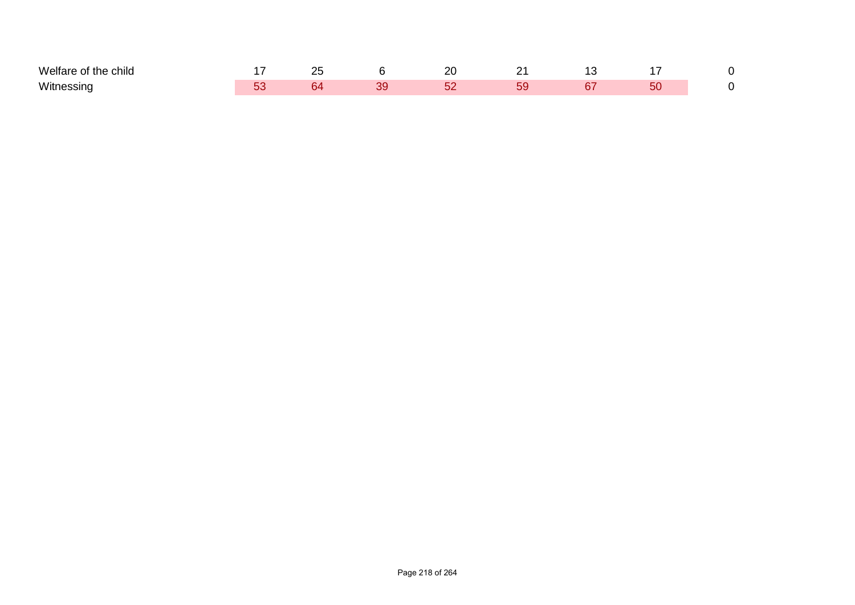| Melfare<br>.<br>of the child |  |   | or |  |  |
|------------------------------|--|---|----|--|--|
| Witnessino                   |  | v |    |  |  |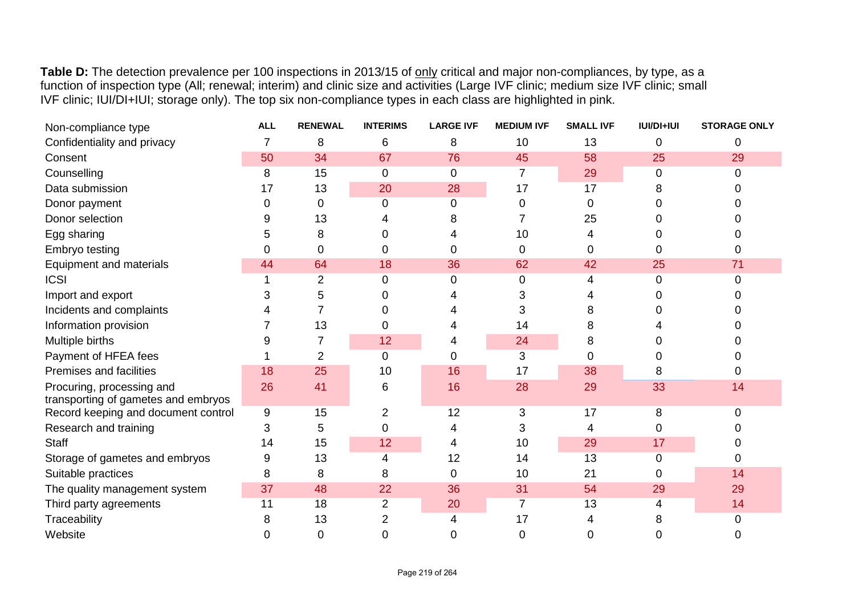Table D: The detection prevalence per 100 inspections in 2013/15 of only critical and major non-compliances, by type, as a function of inspection type (All; renewal; interim) and clinic size and activities (Large IVF clinic; medium size IVF clinic; small IVF clinic; IUI/DI+IUI; storage only). The top six non-compliance types in each class are highlighted in pink.

| Non-compliance type                                              | <b>ALL</b> | <b>RENEWAL</b> | <b>INTERIMS</b> | <b>LARGE IVF</b> | <b>MEDIUM IVF</b> | <b>SMALL IVF</b> | <b>IUI/DI+IUI</b> | <b>STORAGE ONLY</b> |
|------------------------------------------------------------------|------------|----------------|-----------------|------------------|-------------------|------------------|-------------------|---------------------|
| Confidentiality and privacy                                      |            | 8              | 6               | 8                | 10                | 13               | 0                 | 0                   |
| Consent                                                          | 50         | 34             | 67              | 76               | 45                | 58               | 25                | 29                  |
| Counselling                                                      | 8          | 15             | $\overline{0}$  | $\mathbf 0$      | 7                 | 29               | 0                 | 0                   |
| Data submission                                                  | 17         | 13             | 20              | 28               | 17                | 17               | 8                 |                     |
| Donor payment                                                    |            | 0              | 0               | 0                | 0                 | 0                | 0                 |                     |
| Donor selection                                                  |            | 13             |                 |                  |                   | 25               | 0                 |                     |
| Egg sharing                                                      |            | 8              | 0               |                  | 10                | 4                |                   |                     |
| <b>Embryo testing</b>                                            |            | 0              | 0               | 0                | ი                 | 0                | 0                 |                     |
| <b>Equipment and materials</b>                                   | 44         | 64             | 18              | 36               | 62                | 42               | 25                | 71                  |
| <b>ICSI</b>                                                      |            | 2              | $\Omega$        | 0                | 0                 | 4                | 0                 | U                   |
| Import and export                                                |            | 5              |                 |                  |                   |                  |                   |                     |
| Incidents and complaints                                         |            |                | 0               |                  | 3                 | 8                |                   |                     |
| Information provision                                            |            | 13             | 0               |                  | 14                | 8                |                   |                     |
| Multiple births                                                  |            |                | 12              |                  | 24                | 8                |                   |                     |
| Payment of HFEA fees                                             |            | 2              | $\overline{0}$  | 0                | 3                 | 0                |                   |                     |
| Premises and facilities                                          | 18         | 25             | 10              | 16               | 17                | 38               | 8                 |                     |
| Procuring, processing and<br>transporting of gametes and embryos | 26         | 41             | 6               | 16               | 28                | 29               | 33                | 14                  |
| Record keeping and document control                              | 9          | 15             | 2               | 12               | 3                 | 17               | 8                 |                     |
| Research and training                                            | 3          | 5              | 0               |                  | 3                 | 4                | 0                 |                     |
| <b>Staff</b>                                                     | 14         | 15             | 12              | 4                | 10                | 29               | 17                |                     |
| Storage of gametes and embryos                                   |            | 13             | 4               | 12               | 14                | 13               | 0                 |                     |
| Suitable practices                                               | 8          | 8              | 8               | 0                | 10                | 21               | 0                 | 14                  |
| The quality management system                                    | 37         | 48             | 22              | 36               | 31                | 54               | 29                | 29                  |
| Third party agreements                                           | 11         | 18             | 2               | 20               | 7                 | 13               |                   | 14                  |
| Traceability                                                     |            | 13             | 2               |                  | 17                | 4                |                   | 0                   |
| Website                                                          |            | 0              | 0               | 0                | 0                 | 0                | 0                 | O                   |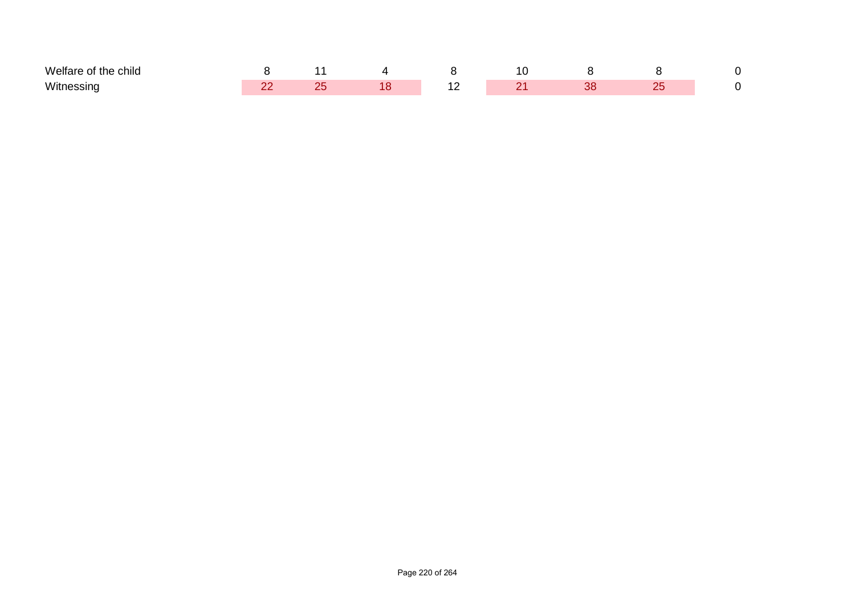| $M$ elfs<br>. .<br>child |  |  |  |  |
|--------------------------|--|--|--|--|
| Witn                     |  |  |  |  |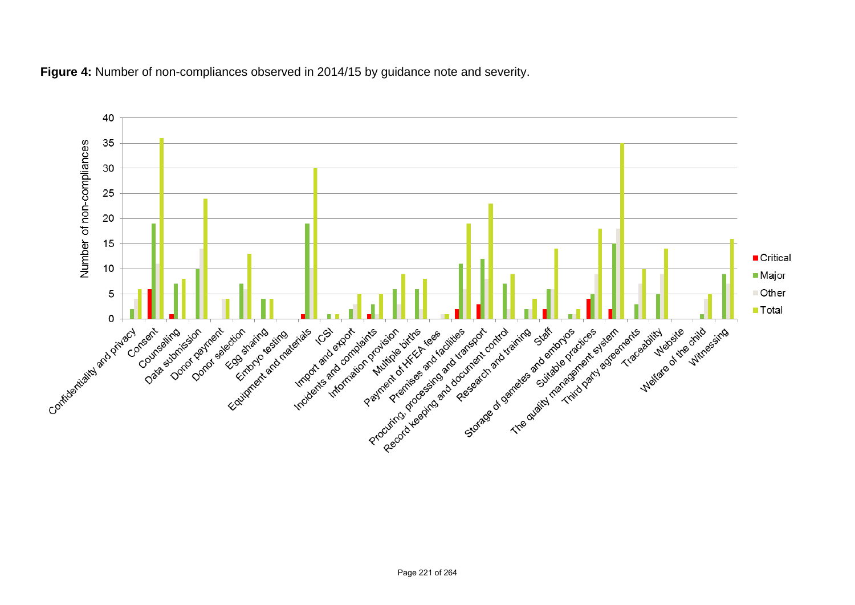

**Figure 4:** Number of non-compliances observed in 2014/15 by guidance note and severity.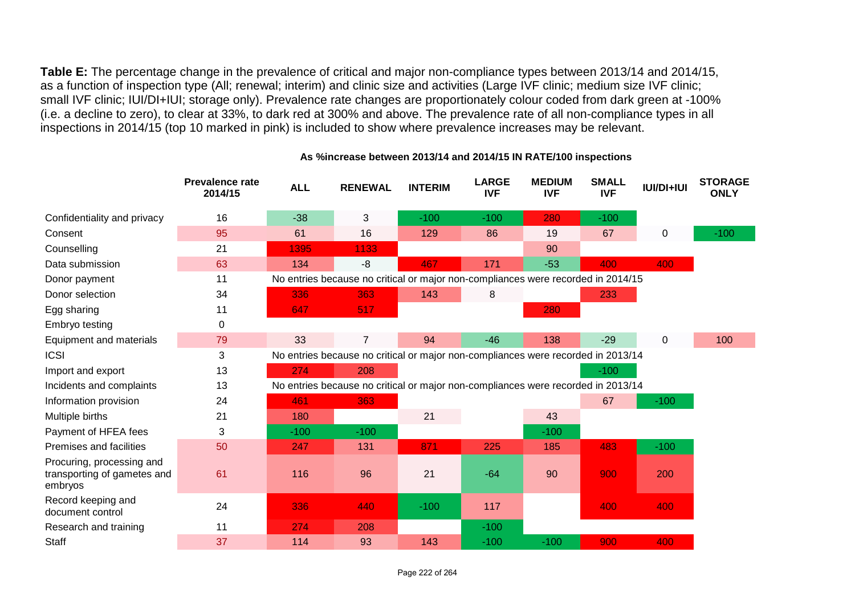**Table E:** The percentage change in the prevalence of critical and major non-compliance types between 2013/14 and 2014/15, as a function of inspection type (All; renewal; interim) and clinic size and activities (Large IVF clinic; medium size IVF clinic; small IVF clinic; IUI/DI+IUI; storage only). Prevalence rate changes are proportionately colour coded from dark green at -100% (i.e. a decline to zero), to clear at 33%, to dark red at 300% and above. The prevalence rate of all non-compliance types in all inspections in 2014/15 (top 10 marked in pink) is included to show where prevalence increases may be relevant.

|                                                                     | <b>Prevalence rate</b><br>2014/15 | <b>ALL</b> | <b>RENEWAL</b>                                                                   | <b>INTERIM</b> | <b>LARGE</b><br><b>IVF</b> | <b>MEDIUM</b><br><b>IVF</b> | <b>SMALL</b><br><b>IVF</b> | <b>IUI/DI+IUI</b> | <b>STORAGE</b><br><b>ONLY</b> |
|---------------------------------------------------------------------|-----------------------------------|------------|----------------------------------------------------------------------------------|----------------|----------------------------|-----------------------------|----------------------------|-------------------|-------------------------------|
| Confidentiality and privacy                                         | 16                                | $-38$      | 3                                                                                | $-100$         | $-100$                     | 280                         | $-100$                     |                   |                               |
| Consent                                                             | 95                                | 61         | 16                                                                               | 129            | 86                         | 19                          | 67                         | $\pmb{0}$         | $-100$                        |
| Counselling                                                         | 21                                | 1395       | 1133                                                                             |                |                            | 90                          |                            |                   |                               |
| Data submission                                                     | 63                                | 134        | -8                                                                               | 467            | 171                        | $-53$                       | 400                        | 400               |                               |
| Donor payment                                                       | 11                                |            | No entries because no critical or major non-compliances were recorded in 2014/15 |                |                            |                             |                            |                   |                               |
| Donor selection                                                     | 34                                | 336        | 363                                                                              | 143            | 8                          |                             | 233                        |                   |                               |
| Egg sharing                                                         | 11                                | 647        | 517                                                                              |                |                            | 280                         |                            |                   |                               |
| Embryo testing                                                      | 0                                 |            |                                                                                  |                |                            |                             |                            |                   |                               |
| Equipment and materials                                             | 79                                | 33         | $\overline{7}$                                                                   | 94             | $-46$                      | 138                         | $-29$                      | $\mathbf 0$       | 100                           |
| <b>ICSI</b>                                                         | 3                                 |            | No entries because no critical or major non-compliances were recorded in 2013/14 |                |                            |                             |                            |                   |                               |
| Import and export                                                   | 13                                | 274        | 208                                                                              |                |                            |                             | $-100$                     |                   |                               |
| Incidents and complaints                                            | 13                                |            | No entries because no critical or major non-compliances were recorded in 2013/14 |                |                            |                             |                            |                   |                               |
| Information provision                                               | 24                                | 461        | 363                                                                              |                |                            |                             | 67                         | $-100$            |                               |
| Multiple births                                                     | 21                                | 180        |                                                                                  | 21             |                            | 43                          |                            |                   |                               |
| Payment of HFEA fees                                                | 3                                 | $-100$     | $-100$                                                                           |                |                            | $-100$                      |                            |                   |                               |
| <b>Premises and facilities</b>                                      | 50                                | 247        | 131                                                                              | 871            | 225                        | 185                         | 483                        | $-100$            |                               |
| Procuring, processing and<br>transporting of gametes and<br>embryos | 61                                | 116        | 96                                                                               | 21             | $-64$                      | 90                          | 900                        | 200               |                               |
| Record keeping and<br>document control                              | 24                                | 336        | 440                                                                              | $-100$         | 117                        |                             | 400                        | 400               |                               |
| Research and training                                               | 11                                | 274        | 208                                                                              |                | $-100$                     |                             |                            |                   |                               |
| <b>Staff</b>                                                        | 37                                | 114        | 93                                                                               | 143            | $-100$                     | $-100$                      | 900                        | 400               |                               |

#### **As %increase between 2013/14 and 2014/15 IN RATE/100 inspections**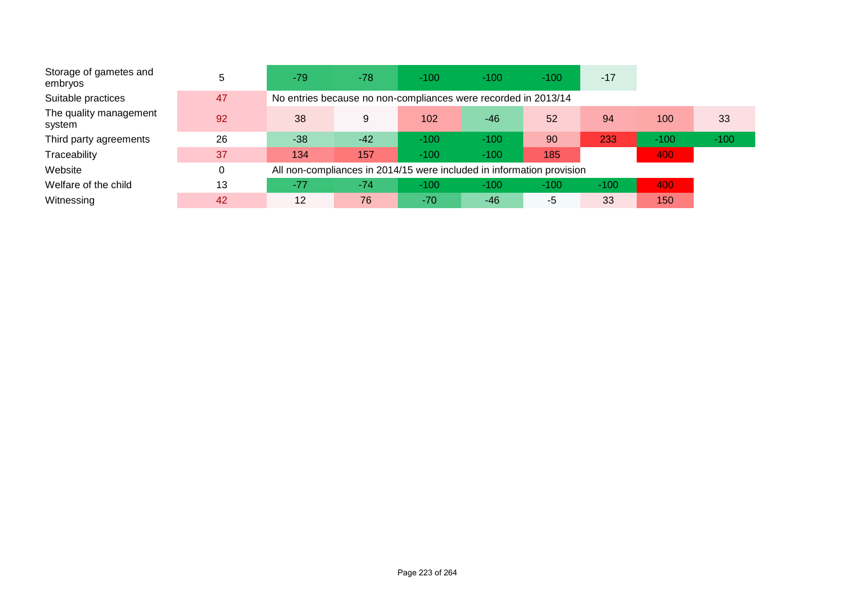| Storage of gametes and<br>embryos | 5  | $-79$ | $-78$                                                                 | $-100$ | $-100$ | $-100$ | $-17$  |        |        |
|-----------------------------------|----|-------|-----------------------------------------------------------------------|--------|--------|--------|--------|--------|--------|
| Suitable practices                | 47 |       | No entries because no non-compliances were recorded in 2013/14        |        |        |        |        |        |        |
| The quality management<br>system  | 92 | 38    | 9                                                                     | 102    | $-46$  | 52     | 94     | 100    | 33     |
| Third party agreements            | 26 | $-38$ | $-42$                                                                 | $-100$ | $-100$ | 90     | 233    | $-100$ | $-100$ |
| Traceability                      | 37 | 134   | 157                                                                   | $-100$ | $-100$ | 185    |        | 400    |        |
| Website                           | 0  |       | All non-compliances in 2014/15 were included in information provision |        |        |        |        |        |        |
| Welfare of the child              | 13 | $-77$ | $-74$                                                                 | $-100$ | $-100$ | $-100$ | $-100$ | 400    |        |
| Witnessing                        | 42 | 12    | 76                                                                    | $-70$  | $-46$  | -5     | 33     | 150    |        |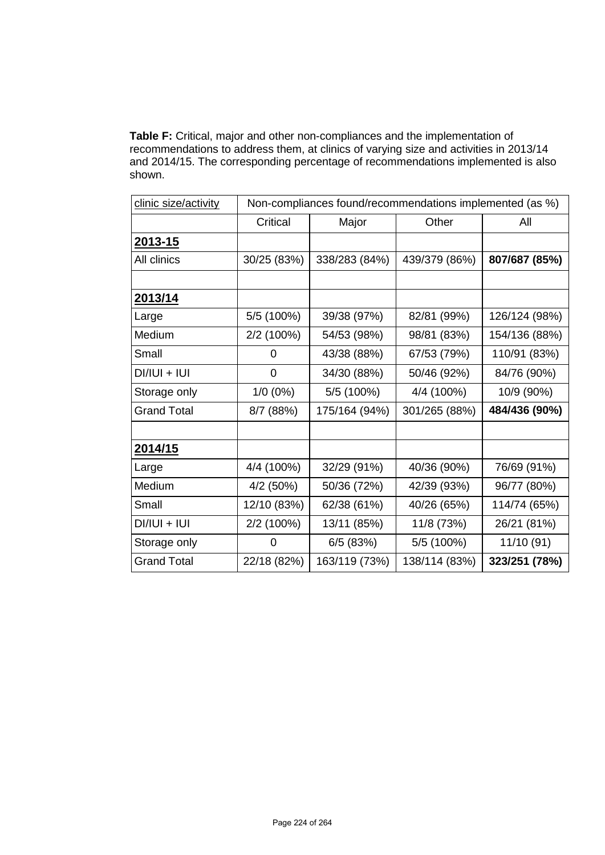**Table F:** Critical, major and other non-compliances and the implementation of recommendations to address them, at clinics of varying size and activities in 2013/14 and 2014/15. The corresponding percentage of recommendations implemented is also shown.

| clinic size/activity | Non-compliances found/recommendations implemented (as %) |               |               |               |  |  |  |  |
|----------------------|----------------------------------------------------------|---------------|---------------|---------------|--|--|--|--|
|                      | Critical                                                 | Major         | Other         | All           |  |  |  |  |
| 2013-15              |                                                          |               |               |               |  |  |  |  |
| All clinics          | 30/25 (83%)                                              | 338/283 (84%) | 439/379 (86%) | 807/687 (85%) |  |  |  |  |
|                      |                                                          |               |               |               |  |  |  |  |
| 2013/14              |                                                          |               |               |               |  |  |  |  |
| Large                | 5/5 (100%)                                               | 39/38 (97%)   | 82/81 (99%)   | 126/124 (98%) |  |  |  |  |
| Medium               | 2/2 (100%)                                               | 54/53 (98%)   | 98/81 (83%)   | 154/136 (88%) |  |  |  |  |
| Small                | 0                                                        | 43/38 (88%)   | 67/53 (79%)   | 110/91 (83%)  |  |  |  |  |
| $DI/IUI + IUI$       | 0                                                        | 34/30 (88%)   | 50/46 (92%)   | 84/76 (90%)   |  |  |  |  |
| Storage only         | $1/0(0\%)$                                               | 5/5 (100%)    | 4/4 (100%)    | 10/9 (90%)    |  |  |  |  |
| <b>Grand Total</b>   | 8/7 (88%)                                                | 175/164 (94%) | 301/265 (88%) | 484/436 (90%) |  |  |  |  |
|                      |                                                          |               |               |               |  |  |  |  |
| 2014/15              |                                                          |               |               |               |  |  |  |  |
| Large                | 4/4 (100%)                                               | 32/29 (91%)   | 40/36 (90%)   | 76/69 (91%)   |  |  |  |  |
| Medium               | 4/2 (50%)                                                | 50/36 (72%)   | 42/39 (93%)   | 96/77 (80%)   |  |  |  |  |
| Small                | 12/10 (83%)                                              | 62/38 (61%)   | 40/26 (65%)   | 114/74 (65%)  |  |  |  |  |
| $DI/IUI + IUI$       | 2/2 (100%)                                               | 13/11 (85%)   | 11/8 (73%)    | 26/21 (81%)   |  |  |  |  |
| Storage only         | 0                                                        | 6/5(83%)      | 5/5 (100%)    | 11/10 (91)    |  |  |  |  |
| <b>Grand Total</b>   | 22/18 (82%)                                              | 163/119 (73%) | 138/114 (83%) | 323/251 (78%) |  |  |  |  |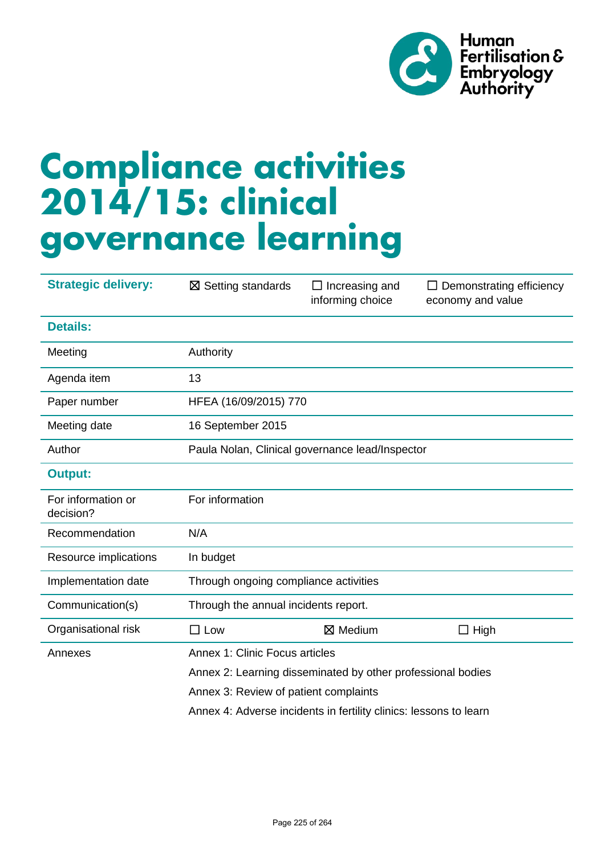

# **Compliance activities 2014/15: clinical governance learning**

| <b>Strategic delivery:</b>      | $\boxtimes$ Setting standards                                     | $\Box$ Increasing and<br>informing choice | $\Box$ Demonstrating efficiency<br>economy and value |  |  |  |  |  |
|---------------------------------|-------------------------------------------------------------------|-------------------------------------------|------------------------------------------------------|--|--|--|--|--|
| <b>Details:</b>                 |                                                                   |                                           |                                                      |  |  |  |  |  |
| Meeting                         | Authority                                                         |                                           |                                                      |  |  |  |  |  |
| Agenda item                     | 13                                                                |                                           |                                                      |  |  |  |  |  |
| Paper number                    | HFEA (16/09/2015) 770                                             |                                           |                                                      |  |  |  |  |  |
| Meeting date                    | 16 September 2015                                                 |                                           |                                                      |  |  |  |  |  |
| Author                          | Paula Nolan, Clinical governance lead/Inspector                   |                                           |                                                      |  |  |  |  |  |
| <b>Output:</b>                  |                                                                   |                                           |                                                      |  |  |  |  |  |
| For information or<br>decision? | For information                                                   |                                           |                                                      |  |  |  |  |  |
| Recommendation                  | N/A                                                               |                                           |                                                      |  |  |  |  |  |
| Resource implications           | In budget                                                         |                                           |                                                      |  |  |  |  |  |
| Implementation date             | Through ongoing compliance activities                             |                                           |                                                      |  |  |  |  |  |
| Communication(s)                | Through the annual incidents report.                              |                                           |                                                      |  |  |  |  |  |
| Organisational risk             | $\Box$ Low                                                        | $\boxtimes$ Medium                        | $\Box$ High                                          |  |  |  |  |  |
| Annexes                         | Annex 1: Clinic Focus articles                                    |                                           |                                                      |  |  |  |  |  |
|                                 | Annex 2: Learning disseminated by other professional bodies       |                                           |                                                      |  |  |  |  |  |
|                                 | Annex 3: Review of patient complaints                             |                                           |                                                      |  |  |  |  |  |
|                                 | Annex 4: Adverse incidents in fertility clinics: lessons to learn |                                           |                                                      |  |  |  |  |  |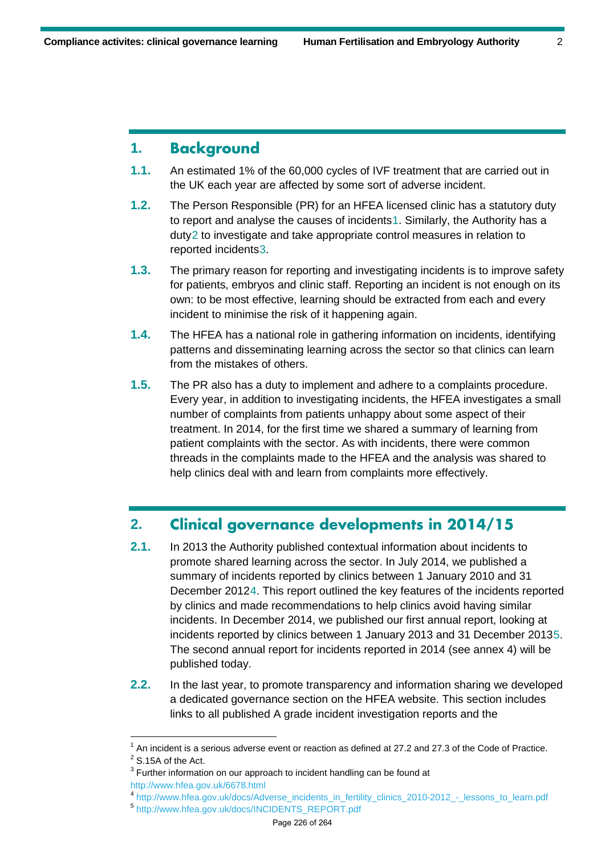## **1. Background**

- **1.1.** An estimated 1% of the 60,000 cycles of IVF treatment that are carried out in the UK each year are affected by some sort of adverse incident.
- **1.2.** The Person Responsible (PR) for an HFEA licensed clinic has a statutory duty to report and analyse the causes of incidents[1](#page-21-0). Similarly, the Authority has a duty[2](#page-21-1) to investigate and take appropriate control measures in relation to reported incident[s3.](#page-21-2)
- **1.3.** The primary reason for reporting and investigating incidents is to improve safety for patients, embryos and clinic staff. Reporting an incident is not enough on its own: to be most effective, learning should be extracted from each and every incident to minimise the risk of it happening again.
- **1.4.** The HFEA has a national role in gathering information on incidents, identifying patterns and disseminating learning across the sector so that clinics can learn from the mistakes of others.
- **1.5.** The PR also has a duty to implement and adhere to a complaints procedure. Every year, in addition to investigating incidents, the HFEA investigates a small number of complaints from patients unhappy about some aspect of their treatment. In 2014, for the first time we shared a summary of learning from patient complaints with the sector. As with incidents, there were common threads in the complaints made to the HFEA and the analysis was shared to help clinics deal with and learn from complaints more effectively.

### **2. Clinical governance developments in 2014/15**

- **2.1.** In 2013 the Authority published contextual information about incidents to promote shared learning across the sector. In July 2014, we published a summary of incidents reported by clinics between 1 January 2010 and 31 December 2012[4](#page-21-3). This report outlined the key features of the incidents reported by clinics and made recommendations to help clinics avoid having similar incidents. In December 2014, we published our first annual report, looking at incidents reported by clinics between 1 January 2013 and 31 December 2013[5.](#page-21-4) The second annual report for incidents reported in 2014 (see annex 4) will be published today.
- **2.2.** In the last year, to promote transparency and information sharing we developed a dedicated governance section on the HFEA website. This section includes links to all published A grade incident investigation reports and the

<span id="page-21-0"></span> $1$  An incident is a serious adverse event or reaction as defined at 27.2 and 27.3 of the Code of Practice.

<span id="page-21-1"></span> $2$  S.15A of the Act.

<span id="page-21-2"></span> $3$  Further information on our approach to incident handling can be found at

<span id="page-21-3"></span>http://www.hfea.gov.uk/6678.html<br>4 [http://www.hfea.gov.uk/docs/Adverse\\_incidents\\_in\\_fertility\\_clinics\\_2010-2012\\_-\\_lessons\\_to\\_learn.pdf](http://www.hfea.gov.uk/docs/Adverse_incidents_in_fertility_clinics_2010-2012_-_lessons_to_learn.pdf)

<span id="page-21-4"></span><sup>5</sup> [http://www.hfea.gov.uk/docs/INCIDENTS\\_REPORT.pdf](http://www.hfea.gov.uk/docs/INCIDENTS_REPORT.pdf)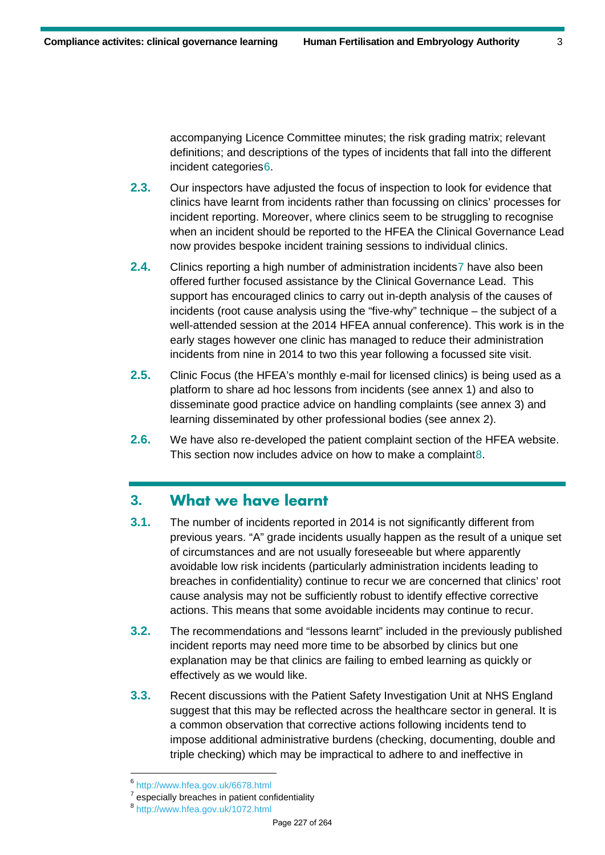accompanying Licence Committee minutes; the risk grading matrix; relevant definitions; and descriptions of the types of incidents that fall into the different incident categories[6.](#page-22-0)

- **2.3.** Our inspectors have adjusted the focus of inspection to look for evidence that clinics have learnt from incidents rather than focussing on clinics' processes for incident reporting. Moreover, where clinics seem to be struggling to recognise when an incident should be reported to the HFEA the Clinical Governance Lead now provides bespoke incident training sessions to individual clinics.
- **2.4.** Clinics reporting a high number of administration incidents[7](#page-22-1) have also been offered further focused assistance by the Clinical Governance Lead. This support has encouraged clinics to carry out in-depth analysis of the causes of incidents (root cause analysis using the "five-why" technique – the subject of a well-attended session at the 2014 HFEA annual conference). This work is in the early stages however one clinic has managed to reduce their administration incidents from nine in 2014 to two this year following a focussed site visit.
- **2.5.** Clinic Focus (the HFEA's monthly e-mail for licensed clinics) is being used as a platform to share ad hoc lessons from incidents (see annex 1) and also to disseminate good practice advice on handling complaints (see annex 3) and learning disseminated by other professional bodies (see annex 2).
- **2.6.** We have also re-developed the patient complaint section of the HFEA website. This section now includes advice on how to make a complaint[8](#page-22-2).

## **3. What we have learnt**

- **3.1.** The number of incidents reported in 2014 is not significantly different from previous years. "A" grade incidents usually happen as the result of a unique set of circumstances and are not usually foreseeable but where apparently avoidable low risk incidents (particularly administration incidents leading to breaches in confidentiality) continue to recur we are concerned that clinics' root cause analysis may not be sufficiently robust to identify effective corrective actions. This means that some avoidable incidents may continue to recur.
- **3.2.** The recommendations and "lessons learnt" included in the previously published incident reports may need more time to be absorbed by clinics but one explanation may be that clinics are failing to embed learning as quickly or effectively as we would like.
- **3.3.** Recent discussions with the Patient Safety Investigation Unit at NHS England suggest that this may be reflected across the healthcare sector in general. It is a common observation that corrective actions following incidents tend to impose additional administrative burdens (checking, documenting, double and triple checking) which may be impractical to adhere to and ineffective in

<span id="page-22-0"></span> $^6$  http://www.hfea.gov.uk/6678.html<br> $^7$  especially breaches in patient confidentiality

<span id="page-22-2"></span><span id="page-22-1"></span><sup>&</sup>lt;sup>8</sup> http://www.hfea.gov.uk/1072.html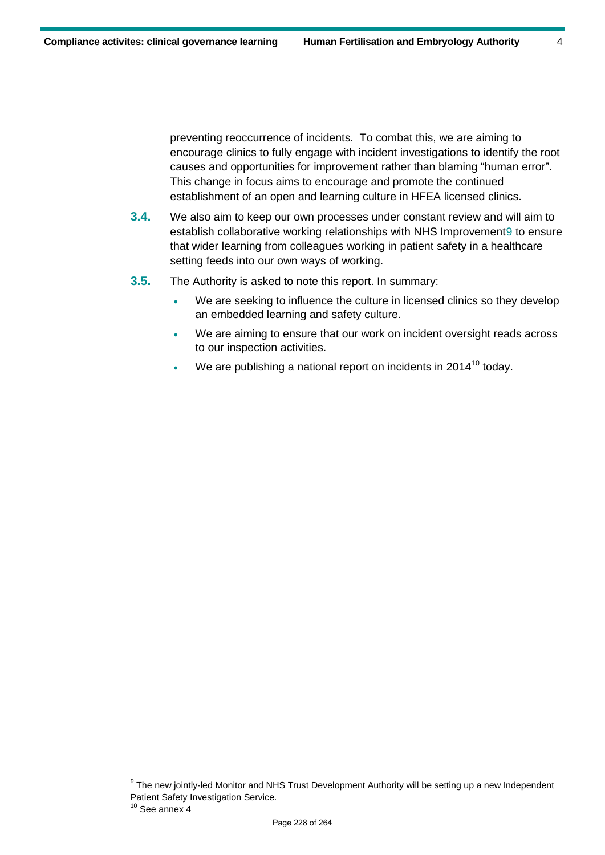preventing reoccurrence of incidents. To combat this, we are aiming to encourage clinics to fully engage with incident investigations to identify the root causes and opportunities for improvement rather than blaming "human error". This change in focus aims to encourage and promote the continued establishment of an open and learning culture in HFEA licensed clinics.

- **3.4.** We also aim to keep our own processes under constant review and will aim to establish collaborative working relationships with NHS Improvement[9](#page-23-0) to ensure that wider learning from colleagues working in patient safety in a healthcare setting feeds into our own ways of working.
- **3.5.** The Authority is asked to note this report. In summary:
	- We are seeking to influence the culture in licensed clinics so they develop an embedded learning and safety culture.
	- We are aiming to ensure that our work on incident oversight reads across to our inspection activities.
	- We are publishing a national report on incidents in 2014<sup>[10](#page-23-1)</sup> today.

<span id="page-23-0"></span><sup>&</sup>lt;sup>9</sup> The new jointly-led Monitor and NHS Trust Development Authority will be setting up a new Independent Patient Safety Investigation Service.

<span id="page-23-1"></span> $10$  See annex 4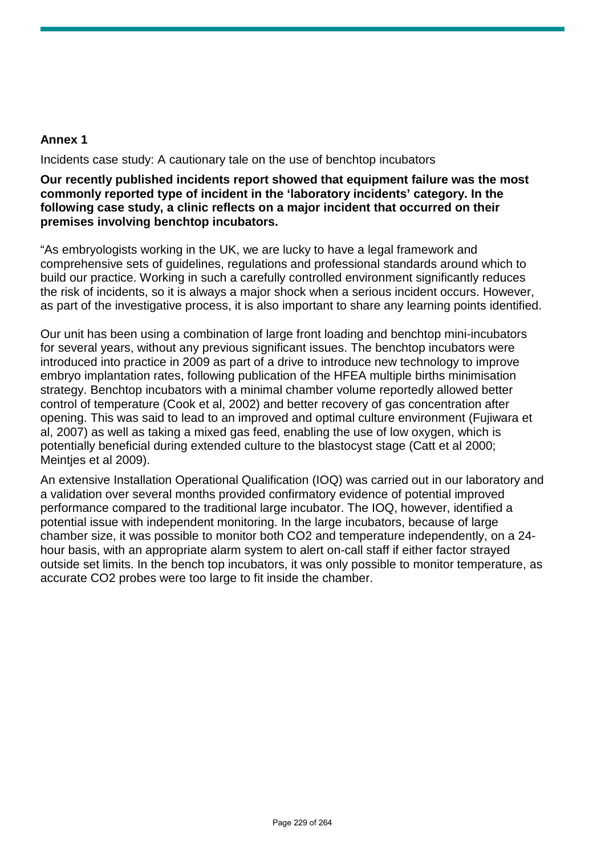#### **Annex 1**

Incidents case study: A cautionary tale on the use of benchtop incubators

**Our recently published incidents report showed that equipment failure was the most commonly reported type of incident in the 'laboratory incidents' category. In the following case study, a clinic reflects on a major incident that occurred on their premises involving benchtop incubators.** 

"As embryologists working in the UK, we are lucky to have a legal framework and comprehensive sets of guidelines, regulations and professional standards around which to build our practice. Working in such a carefully controlled environment significantly reduces the risk of incidents, so it is always a major shock when a serious incident occurs. However, as part of the investigative process, it is also important to share any learning points identified.

Our unit has been using a combination of large front loading and benchtop mini-incubators for several years, without any previous significant issues. The benchtop incubators were introduced into practice in 2009 as part of a drive to introduce new technology to improve embryo implantation rates, following publication of the HFEA multiple births minimisation strategy. Benchtop incubators with a minimal chamber volume reportedly allowed better control of temperature (Cook et al, 2002) and better recovery of gas concentration after opening. This was said to lead to an improved and optimal culture environment (Fujiwara et al, 2007) as well as taking a mixed gas feed, enabling the use of low oxygen, which is potentially beneficial during extended culture to the blastocyst stage (Catt et al 2000; Meintjes et al 2009).

An extensive Installation Operational Qualification (IOQ) was carried out in our laboratory and a validation over several months provided confirmatory evidence of potential improved performance compared to the traditional large incubator. The IOQ, however, identified a potential issue with independent monitoring. In the large incubators, because of large chamber size, it was possible to monitor both CO2 and temperature independently, on a 24 hour basis, with an appropriate alarm system to alert on-call staff if either factor strayed outside set limits. In the bench top incubators, it was only possible to monitor temperature, as accurate CO2 probes were too large to fit inside the chamber.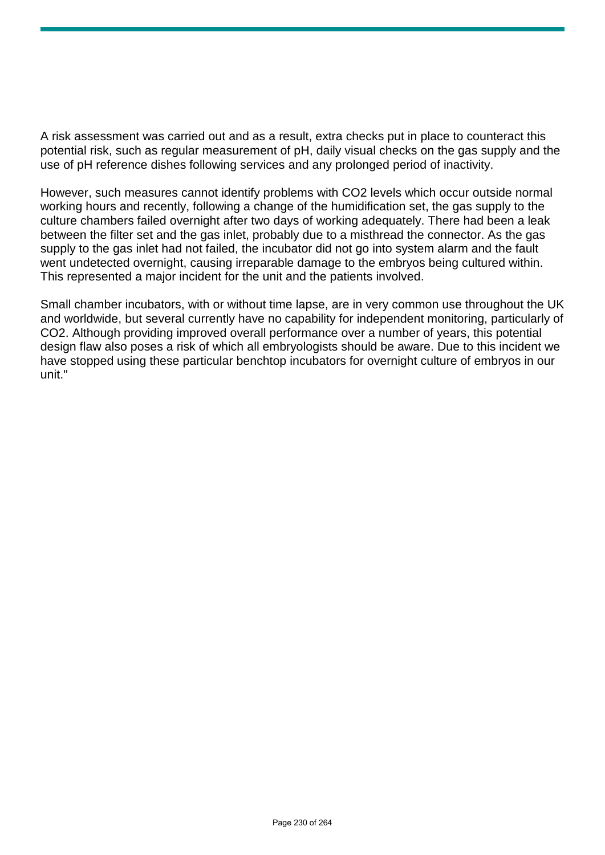A risk assessment was carried out and as a result, extra checks put in place to counteract this potential risk, such as regular measurement of pH, daily visual checks on the gas supply and the use of pH reference dishes following services and any prolonged period of inactivity.

However, such measures cannot identify problems with CO2 levels which occur outside normal working hours and recently, following a change of the humidification set, the gas supply to the culture chambers failed overnight after two days of working adequately. There had been a leak between the filter set and the gas inlet, probably due to a misthread the connector. As the gas supply to the gas inlet had not failed, the incubator did not go into system alarm and the fault went undetected overnight, causing irreparable damage to the embryos being cultured within. This represented a major incident for the unit and the patients involved.

Small chamber incubators, with or without time lapse, are in very common use throughout the UK and worldwide, but several currently have no capability for independent monitoring, particularly of CO2. Although providing improved overall performance over a number of years, this potential design flaw also poses a risk of which all embryologists should be aware. Due to this incident we have stopped using these particular benchtop incubators for overnight culture of embryos in our unit."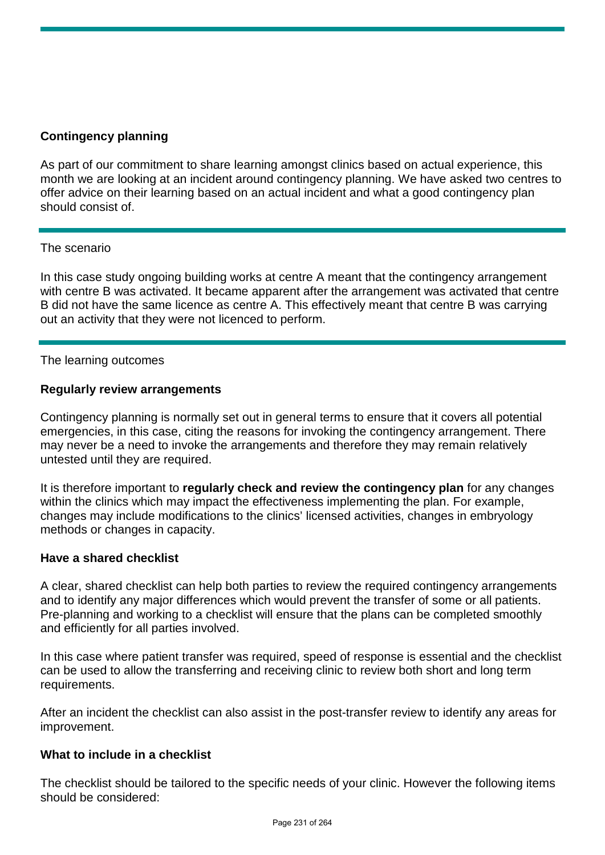#### **Contingency planning**

As part of our commitment to share learning amongst clinics based on actual experience, this month we are looking at an incident around contingency planning. We have asked two centres to offer advice on their learning based on an actual incident and what a good contingency plan should consist of.

#### The scenario

In this case study ongoing building works at centre A meant that the contingency arrangement with centre B was activated. It became apparent after the arrangement was activated that centre B did not have the same licence as centre A. This effectively meant that centre B was carrying out an activity that they were not licenced to perform.

#### The learning outcomes

#### **Regularly review arrangements**

Contingency planning is normally set out in general terms to ensure that it covers all potential emergencies, in this case, citing the reasons for invoking the contingency arrangement. There may never be a need to invoke the arrangements and therefore they may remain relatively untested until they are required.

It is therefore important to **regularly check and review the contingency plan** for any changes within the clinics which may impact the effectiveness implementing the plan. For example, changes may include modifications to the clinics' licensed activities, changes in embryology methods or changes in capacity.

#### **Have a shared checklist**

A clear, shared checklist can help both parties to review the required contingency arrangements and to identify any major differences which would prevent the transfer of some or all patients. Pre-planning and working to a checklist will ensure that the plans can be completed smoothly and efficiently for all parties involved.

In this case where patient transfer was required, speed of response is essential and the checklist can be used to allow the transferring and receiving clinic to review both short and long term requirements.

After an incident the checklist can also assist in the post-transfer review to identify any areas for improvement.

#### **What to include in a checklist**

The checklist should be tailored to the specific needs of your clinic. However the following items should be considered: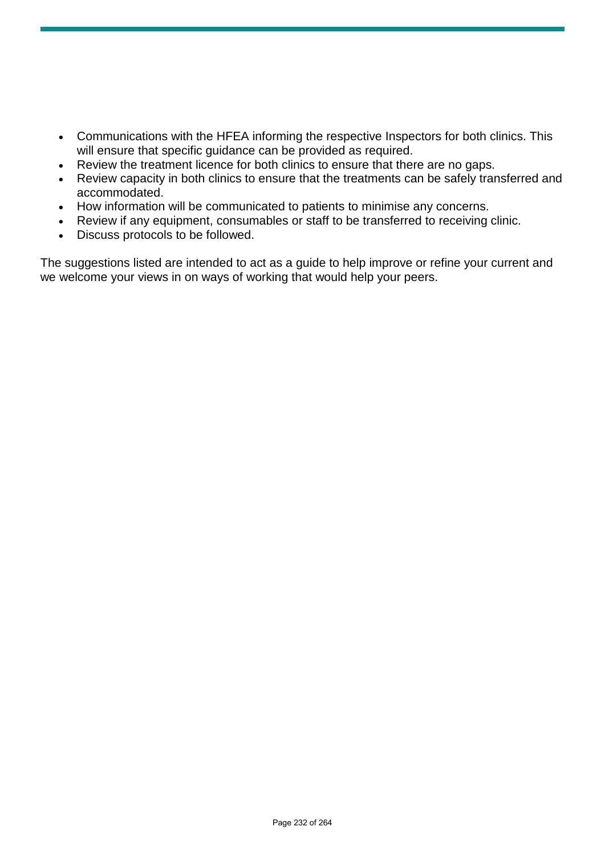- Communications with the HFEA informing the respective Inspectors for both clinics. This will ensure that specific guidance can be provided as required.
- Review the treatment licence for both clinics to ensure that there are no gaps.
- Review capacity in both clinics to ensure that the treatments can be safely transferred and accommodated.
- How information will be communicated to patients to minimise any concerns.
- Review if any equipment, consumables or staff to be transferred to receiving clinic.
- Discuss protocols to be followed.

The suggestions listed are intended to act as a guide to help improve or refine your current and we welcome your views in on ways of working that would help your peers.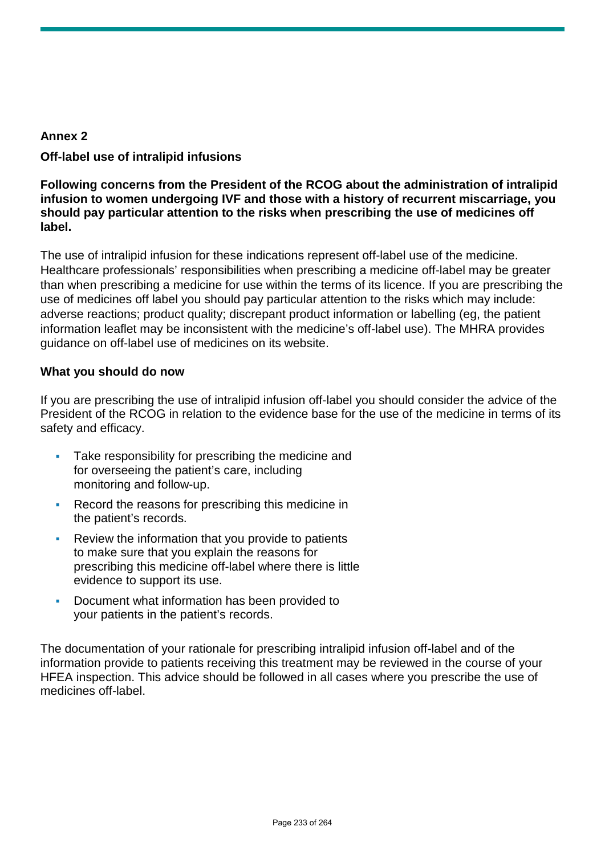#### **Annex 2**

#### **Off-label use of intralipid infusions**

#### **Following concerns from the President of the RCOG about the administration of intralipid infusion to women undergoing IVF and those with a history of recurrent miscarriage, you should pay particular attention to the risks when prescribing the use of medicines off label.**

The use of intralipid infusion for these indications represent off-label use of the medicine. Healthcare professionals' responsibilities when prescribing a medicine off-label may be greater than when prescribing a medicine for use within the terms of its licence. If you are prescribing the use of medicines off label you should pay particular attention to the risks which may include: adverse reactions; product quality; discrepant product information or labelling (eg, the patient information leaflet may be inconsistent with the medicine's off-label use). The MHRA provides guidance on off-label use of medicines on its website.

#### **What you should do now**

If you are prescribing the use of intralipid infusion off-label you should consider the advice of the President of the RCOG in relation to the evidence base for the use of the medicine in terms of its safety and efficacy.

- Take responsibility for prescribing the medicine and for overseeing the patient's care, including monitoring and follow-up.
- Record the reasons for prescribing this medicine in the patient's records.
- Review the information that you provide to patients to make sure that you explain the reasons for prescribing this medicine off-label where there is little evidence to support its use.
- Document what information has been provided to your patients in the patient's records.

The documentation of your rationale for prescribing intralipid infusion off-label and of the information provide to patients receiving this treatment may be reviewed in the course of your HFEA inspection. This advice should be followed in all cases where you prescribe the use of medicines off-label.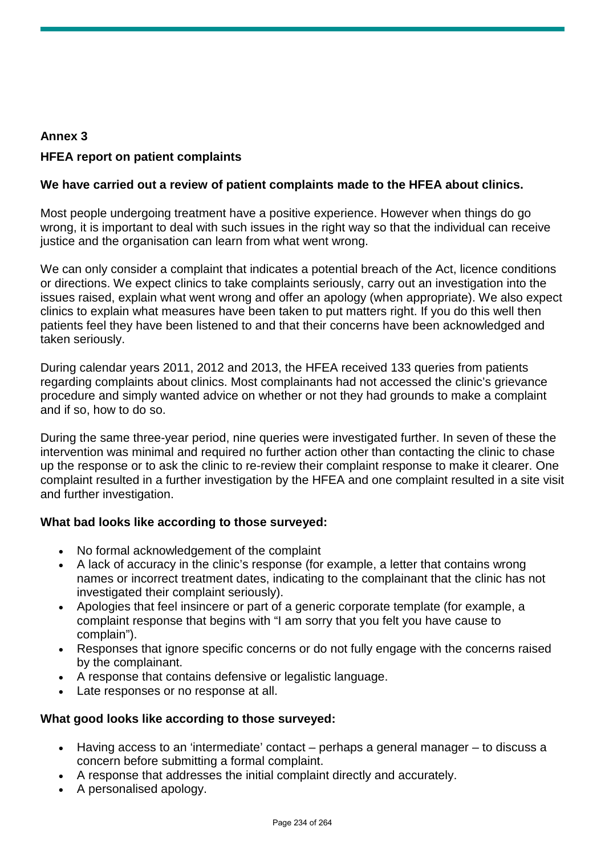## **Annex 3 HFEA report on patient complaints**

### **We have carried out a review of patient complaints made to the HFEA about clinics.**

Most people undergoing treatment have a positive experience. However when things do go wrong, it is important to deal with such issues in the right way so that the individual can receive justice and the organisation can learn from what went wrong.

We can only consider a complaint that indicates a potential breach of the Act, licence conditions or directions. We expect clinics to take complaints seriously, carry out an investigation into the issues raised, explain what went wrong and offer an apology (when appropriate). We also expect clinics to explain what measures have been taken to put matters right. If you do this well then patients feel they have been listened to and that their concerns have been acknowledged and taken seriously.

During calendar years 2011, 2012 and 2013, the HFEA received 133 queries from patients regarding complaints about clinics. Most complainants had not accessed the clinic's grievance procedure and simply wanted advice on whether or not they had grounds to make a complaint and if so, how to do so.

During the same three-year period, nine queries were investigated further. In seven of these the intervention was minimal and required no further action other than contacting the clinic to chase up the response or to ask the clinic to re-review their complaint response to make it clearer. One complaint resulted in a further investigation by the HFEA and one complaint resulted in a site visit and further investigation.

#### **What bad looks like according to those surveyed:**

- No formal acknowledgement of the complaint
- A lack of accuracy in the clinic's response (for example, a letter that contains wrong names or incorrect treatment dates, indicating to the complainant that the clinic has not investigated their complaint seriously).
- Apologies that feel insincere or part of a generic corporate template (for example, a complaint response that begins with "I am sorry that you felt you have cause to complain").
- Responses that ignore specific concerns or do not fully engage with the concerns raised by the complainant.
- A response that contains defensive or legalistic language.
- Late responses or no response at all.

#### **What good looks like according to those surveyed:**

- Having access to an 'intermediate' contact perhaps a general manager to discuss a concern before submitting a formal complaint.
- A response that addresses the initial complaint directly and accurately.
- A personalised apology.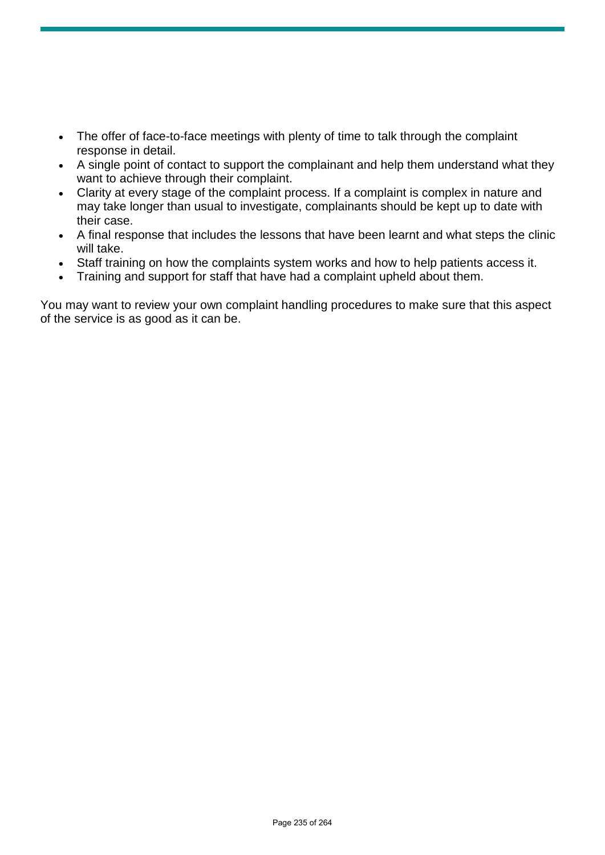- The offer of face-to-face meetings with plenty of time to talk through the complaint response in detail.
- A single point of contact to support the complainant and help them understand what they want to achieve through their complaint.
- Clarity at every stage of the complaint process. If a complaint is complex in nature and may take longer than usual to investigate, complainants should be kept up to date with their case.
- A final response that includes the lessons that have been learnt and what steps the clinic will take.
- Staff training on how the complaints system works and how to help patients access it.
- Training and support for staff that have had a complaint upheld about them.

You may want to review your own complaint handling procedures to make sure that this aspect of the service is as good as it can be.